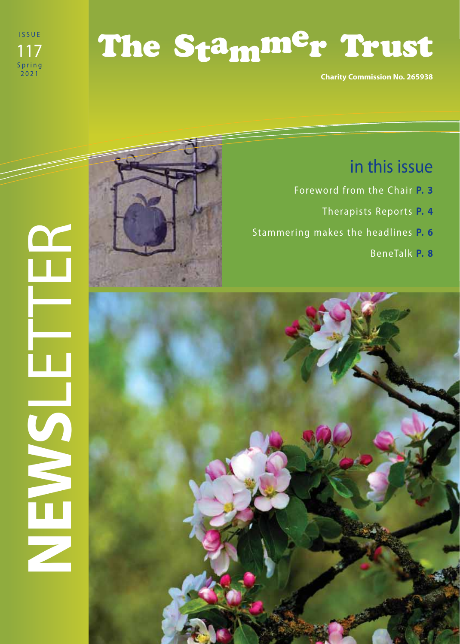

# The Stammer Trust

**Charity Commission No. 265938**

# **NEWS**LETTER HEMSILE



# in this issue

- Foreword from the Chair **P. 3**
	- Therapists Reports **P. 4**
- Stammering makes the headlines **P. 6**

BeneTalk **P. 8**

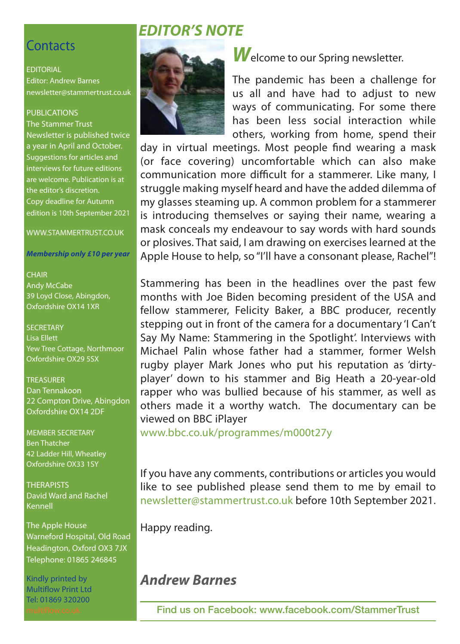### **Contacts**

EDITORIAL Editor: Andrew Barnes newsletter@stammertrust.co.uk

### PUBLICATIONS

The Stammer Trust Newsletter is published twice a year in April and October. Suggestions for articles and interviews for future editions are welcome. Publication is at the editor's discretion. Copy deadline for Autumn edition is 10th September 2021

WWW.STAMMERTRUST.CO.UK

*Membership only £10 per year*

### **CHAIR**

Andy McCabe 39 Loyd Close, Abingdon, Oxfordshire OX14 1XR

**SECRETARY** Lisa Ellett Yew Tree Cottage, Northmoor Oxfordshire OX29 5SX

### **TREASURER**

Dan Tennakoon 22 Compton Drive, Abingdon Oxfordshire OX14 2DF

MEMBER SECRETARY Ben Thatcher 42 Ladder Hill, Wheatley Oxfordshire OX33 1SY

**THERAPISTS** David Ward and Rachel Kennell

The Apple House Warneford Hospital, Old Road Headington, Oxford OX3 7JX Telephone: 01865 246845

Kindly printed by Multiflow Print Ltd Tel: 01869 320200

# *EDITOR'S NOTE*



**W** elcome to our Spring newsletter.

The pandemic has been a challenge for us all and have had to adjust to new ways of communicating. For some there has been less social interaction while others, working from home, spend their

day in virtual meetings. Most people find wearing a mask (or face covering) uncomfortable which can also make communication more difficult for a stammerer. Like many, I struggle making myself heard and have the added dilemma of my glasses steaming up. A common problem for a stammerer is introducing themselves or saying their name, wearing a mask conceals my endeavour to say words with hard sounds or plosives. That said, I am drawing on exercises learned at the Apple House to help, so "I'll have a consonant please, Rachel"!

Stammering has been in the headlines over the past few months with Joe Biden becoming president of the USA and fellow stammerer, Felicity Baker, a BBC producer, recently stepping out in front of the camera for a documentary 'I Can't Say My Name: Stammering in the Spotlight'. Interviews with Michael Palin whose father had a stammer, former Welsh rugby player Mark Jones who put his reputation as 'dirtyplayer' down to his stammer and Big Heath a 20-year-old rapper who was bullied because of his stammer, as well as others made it a worthy watch. The documentary can be viewed on BBC iPlayer

www.bbc.co.uk/programmes/m000t27y

If you have any comments, contributions or articles you would like to see published please send them to me by email to newsletter@stammertrust.co.uk before 10th September 2021.

Happy reading.

# *Andrew Barnes*

**Find us on Facebook: www.facebook.com/StammerTrust**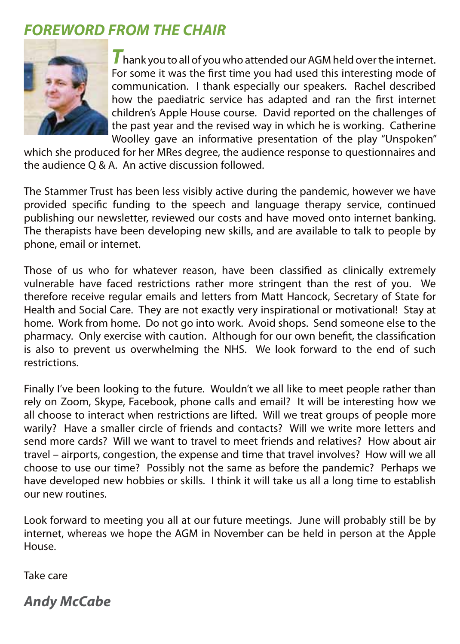# *FOREWORD FROM THE CHAIR*



**T** hank you to all of you who attended our AGM held over the internet. For some it was the first time you had used this interesting mode of communication. I thank especially our speakers. Rachel described how the paediatric service has adapted and ran the first internet children's Apple House course. David reported on the challenges of the past year and the revised way in which he is working. Catherine Woolley gave an informative presentation of the play "Unspoken"

which she produced for her MRes degree, the audience response to questionnaires and the audience Q & A. An active discussion followed.

The Stammer Trust has been less visibly active during the pandemic, however we have provided specific funding to the speech and language therapy service, continued publishing our newsletter, reviewed our costs and have moved onto internet banking. The therapists have been developing new skills, and are available to talk to people by phone, email or internet.

Those of us who for whatever reason, have been classified as clinically extremely vulnerable have faced restrictions rather more stringent than the rest of you. We therefore receive regular emails and letters from Matt Hancock, Secretary of State for Health and Social Care. They are not exactly very inspirational or motivational! Stay at home. Work from home. Do not go into work. Avoid shops. Send someone else to the pharmacy. Only exercise with caution. Although for our own benefit, the classification is also to prevent us overwhelming the NHS. We look forward to the end of such restrictions.

Finally I've been looking to the future. Wouldn't we all like to meet people rather than rely on Zoom, Skype, Facebook, phone calls and email? It will be interesting how we all choose to interact when restrictions are lifted. Will we treat groups of people more warily? Have a smaller circle of friends and contacts? Will we write more letters and send more cards? Will we want to travel to meet friends and relatives? How about air travel – airports, congestion, the expense and time that travel involves? How will we all choose to use our time? Possibly not the same as before the pandemic? Perhaps we have developed new hobbies or skills. I think it will take us all a long time to establish our new routines.

Look forward to meeting you all at our future meetings. June will probably still be by internet, whereas we hope the AGM in November can be held in person at the Apple House.

Take care

*Andy McCabe*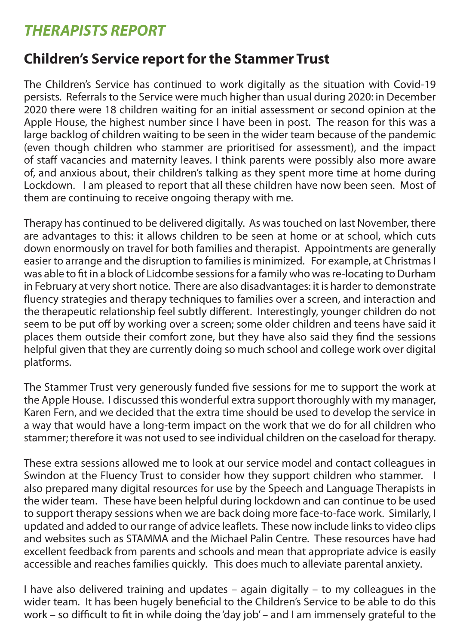# *THERAPISTS REPORT*

# **Children's Service report for the Stammer Trust**

The Children's Service has continued to work digitally as the situation with Covid-19 persists. Referrals to the Service were much higher than usual during 2020: in December 2020 there were 18 children waiting for an initial assessment or second opinion at the Apple House, the highest number since I have been in post. The reason for this was a large backlog of children waiting to be seen in the wider team because of the pandemic (even though children who stammer are prioritised for assessment), and the impact of staff vacancies and maternity leaves. I think parents were possibly also more aware of, and anxious about, their children's talking as they spent more time at home during Lockdown. I am pleased to report that all these children have now been seen. Most of them are continuing to receive ongoing therapy with me.

Therapy has continued to be delivered digitally. As was touched on last November, there are advantages to this: it allows children to be seen at home or at school, which cuts down enormously on travel for both families and therapist. Appointments are generally easier to arrange and the disruption to families is minimized. For example, at Christmas I was able to fit in a block of Lidcombe sessions for a family who was re-locating to Durham in February at very short notice. There are also disadvantages: it is harder to demonstrate fluency strategies and therapy techniques to families over a screen, and interaction and the therapeutic relationship feel subtly different. Interestingly, younger children do not seem to be put off by working over a screen; some older children and teens have said it places them outside their comfort zone, but they have also said they find the sessions helpful given that they are currently doing so much school and college work over digital platforms.

The Stammer Trust very generously funded five sessions for me to support the work at the Apple House. I discussed this wonderful extra support thoroughly with my manager, Karen Fern, and we decided that the extra time should be used to develop the service in a way that would have a long-term impact on the work that we do for all children who stammer; therefore it was not used to see individual children on the caseload for therapy.

These extra sessions allowed me to look at our service model and contact colleagues in Swindon at the Fluency Trust to consider how they support children who stammer. I also prepared many digital resources for use by the Speech and Language Therapists in the wider team. These have been helpful during lockdown and can continue to be used to support therapy sessions when we are back doing more face-to-face work. Similarly, I updated and added to our range of advice leaflets. These now include links to video clips and websites such as STAMMA and the Michael Palin Centre. These resources have had excellent feedback from parents and schools and mean that appropriate advice is easily accessible and reaches families quickly. This does much to alleviate parental anxiety.

I have also delivered training and updates – again digitally – to my colleagues in the wider team. It has been hugely beneficial to the Children's Service to be able to do this work – so difficult to fit in while doing the 'day job' – and I am immensely grateful to the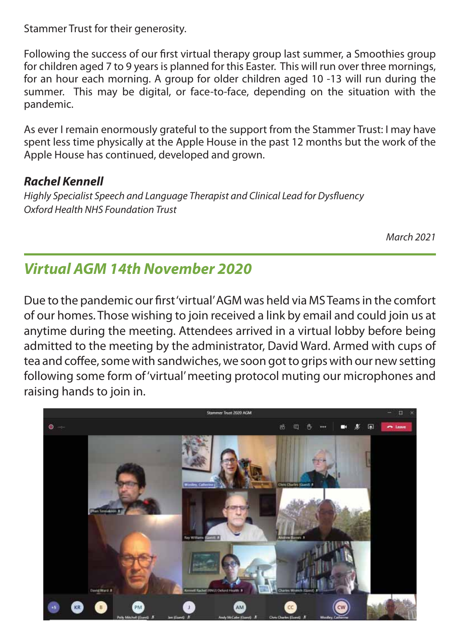Stammer Trust for their generosity.

Following the success of our first virtual therapy group last summer, a Smoothies group for children aged 7 to 9 years is planned for this Easter. This will run over three mornings, for an hour each morning. A group for older children aged 10 -13 will run during the summer. This may be digital, or face-to-face, depending on the situation with the pandemic.

As ever I remain enormously grateful to the support from the Stammer Trust: I may have spent less time physically at the Apple House in the past 12 months but the work of the Apple House has continued, developed and grown.

## *Rachel Kennell*

*Highly Specialist Speech and Language Therapist and Clinical Lead for Dysfl uency Oxford Health NHS Foundation Trust* 

*March 2021*

# *Virtual AGM 14th November 2020*

Due to the pandemic our first 'virtual' AGM was held via MS Teams in the comfort of our homes. Those wishing to join received a link by email and could join us at anytime during the meeting. Attendees arrived in a virtual lobby before being admitted to the meeting by the administrator, David Ward. Armed with cups of tea and coffee, some with sandwiches, we soon got to grips with our new setting following some form of 'virtual' meeting protocol muting our microphones and raising hands to join in.

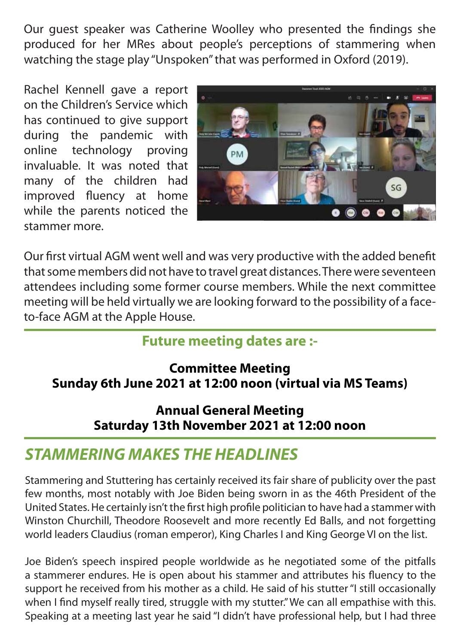Our quest speaker was Catherine Woolley who presented the findings she produced for her MRes about people's perceptions of stammering when watching the stage play "Unspoken" that was performed in Oxford (2019).

Rachel Kennell gave a report on the Children's Service which has continued to give support during the pandemic with online technology proving invaluable. It was noted that many of the children had improved fluency at home while the parents noticed the stammer more.



Our first virtual AGM went well and was very productive with the added benefit that some members did not have to travel great distances. There were seventeen attendees including some former course members. While the next committee meeting will be held virtually we are looking forward to the possibility of a faceto-face AGM at the Apple House.

# **Future meeting dates are :-**

# **Committee Meeting Sunday 6th June 2021 at 12:00 noon (virtual via MS Teams)**

**Annual General Meeting Saturday 13th November 2021 at 12:00 noon**

# *STAMMERING MAKES THE HEADLINES*

Stammering and Stuttering has certainly received its fair share of publicity over the past few months, most notably with Joe Biden being sworn in as the 46th President of the United States. He certainly isn't the first high profile politician to have had a stammer with Winston Churchill, Theodore Roosevelt and more recently Ed Balls, and not forgetting world leaders Claudius (roman emperor), King Charles I and King George VI on the list.

Joe Biden's speech inspired people worldwide as he negotiated some of the pitfalls a stammerer endures. He is open about his stammer and attributes his fluency to the support he received from his mother as a child. He said of his stutter "I still occasionally when I find myself really tired, struggle with my stutter." We can all empathise with this. Speaking at a meeting last year he said "I didn't have professional help, but I had three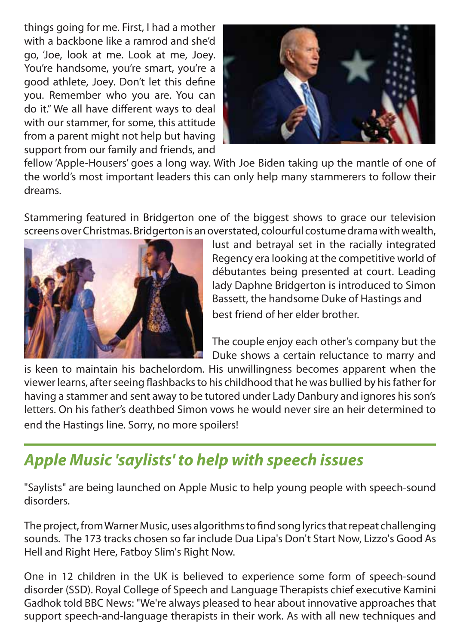things going for me. First, I had a mother with a backbone like a ramrod and she'd go, 'Joe, look at me. Look at me, Joey. You're handsome, you're smart, you're a good athlete, Joey. Don't let this define you. Remember who you are. You can do it." We all have different ways to deal with our stammer, for some, this attitude from a parent might not help but having support from our family and friends, and



fellow 'Apple-Housers' goes a long way. With Joe Biden taking up the mantle of one of the world's most important leaders this can only help many stammerers to follow their dreams.

Stammering featured in Bridgerton one of the biggest shows to grace our television screens over Christmas. Bridgerton is an overstated, colourful costume drama with wealth,



lust and betrayal set in the racially integrated Regency era looking at the competitive world of débutantes being presented at court. Leading lady Daphne Bridgerton is introduced to Simon Bassett, the handsome Duke of Hastings and best friend of her elder brother.

The couple enjoy each other's company but the Duke shows a certain reluctance to marry and

is keen to maintain his bachelordom. His unwillingness becomes apparent when the viewer learns, after seeing flashbacks to his childhood that he was bullied by his father for having a stammer and sent away to be tutored under Lady Danbury and ignores his son's letters. On his father's deathbed Simon vows he would never sire an heir determined to end the Hastings line. Sorry, no more spoilers!

# *Apple Music 'saylists' to help with speech issues*

"Saylists" are being launched on Apple Music to help young people with speech-sound disorders.

The project, from Warner Music, uses algorithms to find song lyrics that repeat challenging sounds. The 173 tracks chosen so far include Dua Lipa's Don't Start Now, Lizzo's Good As Hell and Right Here, Fatboy Slim's Right Now.

One in 12 children in the UK is believed to experience some form of speech-sound disorder (SSD). Royal College of Speech and Language Therapists chief executive Kamini Gadhok told BBC News: "We're always pleased to hear about innovative approaches that support speech-and-language therapists in their work. As with all new techniques and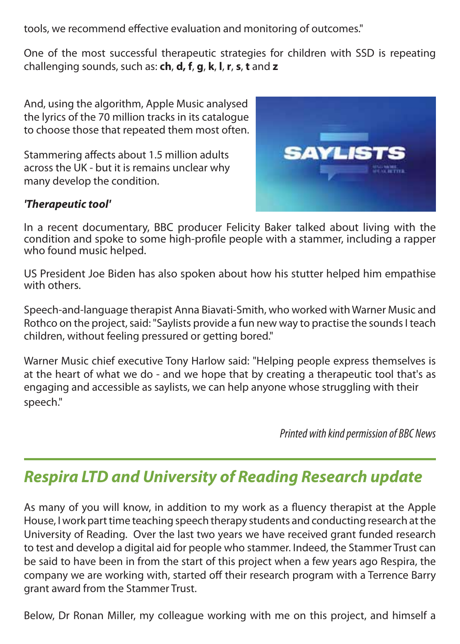tools, we recommend effective evaluation and monitoring of outcomes."

One of the most successful therapeutic strategies for children with SSD is repeating challenging sounds, such as: **ch**, **d, f**, **g**, **k**, **l**, **r**, **s**, **t** and **z**

And, using the algorithm, Apple Music analysed the lyrics of the 70 million tracks in its catalogue to choose those that repeated them most often.

Stammering affects about 1.5 million adults across the UK - but it is remains unclear why many develop the condition.



### *'Therapeutic tool'*

In a recent documentary, BBC producer Felicity Baker talked about living with the condition and spoke to some high-profile people with a stammer, including a rapper who found music helped.

US President Joe Biden has also spoken about how his stutter helped him empathise with others.

Speech-and-language therapist Anna Biavati-Smith, who worked with Warner Music and Rothco on the project, said: "Saylists provide a fun new way to practise the sounds I teach children, without feeling pressured or getting bored."

Warner Music chief executive Tony Harlow said: "Helping people express themselves is at the heart of what we do - and we hope that by creating a therapeutic tool that's as engaging and accessible as saylists, we can help anyone whose struggling with their speech."

*Printed with kind permission of BBC News*

# *Respira LTD and University of Reading Research update*

As many of you will know, in addition to my work as a fluency therapist at the Apple House, I work part time teaching speech therapy students and conducting research at the University of Reading. Over the last two years we have received grant funded research to test and develop a digital aid for people who stammer. Indeed, the Stammer Trust can be said to have been in from the start of this project when a few years ago Respira, the company we are working with, started off their research program with a Terrence Barry grant award from the Stammer Trust.

Below, Dr Ronan Miller, my colleague working with me on this project, and himself a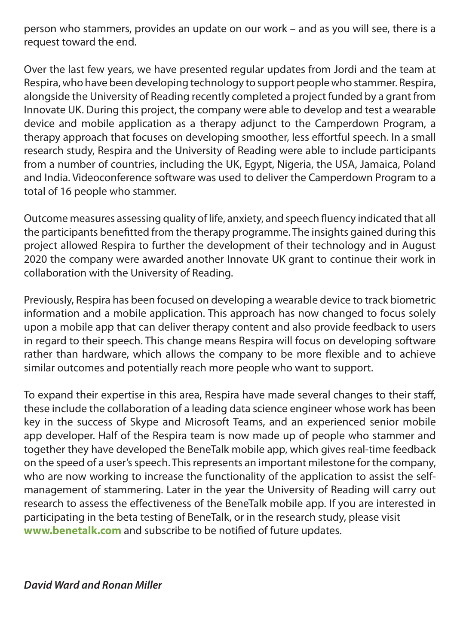person who stammers, provides an update on our work – and as you will see, there is a request toward the end.

Over the last few years, we have presented regular updates from Jordi and the team at Respira, who have been developing technology to support people who stammer. Respira, alongside the University of Reading recently completed a project funded by a grant from Innovate UK. During this project, the company were able to develop and test a wearable device and mobile application as a therapy adjunct to the Camperdown Program, a therapy approach that focuses on developing smoother, less effortful speech. In a small research study, Respira and the University of Reading were able to include participants from a number of countries, including the UK, Egypt, Nigeria, the USA, Jamaica, Poland and India. Videoconference software was used to deliver the Camperdown Program to a total of 16 people who stammer.

Outcome measures assessing quality of life, anxiety, and speech fluency indicated that all the participants benefitted from the therapy programme. The insights gained during this project allowed Respira to further the development of their technology and in August 2020 the company were awarded another Innovate UK grant to continue their work in collaboration with the University of Reading.

Previously, Respira has been focused on developing a wearable device to track biometric information and a mobile application. This approach has now changed to focus solely upon a mobile app that can deliver therapy content and also provide feedback to users in regard to their speech. This change means Respira will focus on developing software rather than hardware, which allows the company to be more flexible and to achieve similar outcomes and potentially reach more people who want to support.

To expand their expertise in this area, Respira have made several changes to their staff, these include the collaboration of a leading data science engineer whose work has been key in the success of Skype and Microsoft Teams, and an experienced senior mobile app developer. Half of the Respira team is now made up of people who stammer and together they have developed the BeneTalk mobile app, which gives real-time feedback on the speed of a user's speech. This represents an important milestone for the company, who are now working to increase the functionality of the application to assist the selfmanagement of stammering. Later in the year the University of Reading will carry out research to assess the effectiveness of the BeneTalk mobile app. If you are interested in participating in the beta testing of BeneTalk, or in the research study, please visit www.benetalk.com and subscribe to be notified of future updates.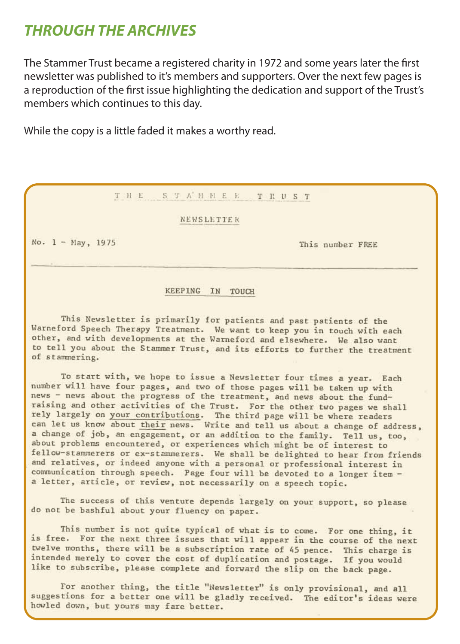# **THROUGH THE ARCHIVES**

The Stammer Trust became a registered charity in 1972 and some years later the first newsletter was published to it's members and supporters. Over the next few pages is a reproduction of the first issue highlighting the dedication and support of the Trust's members which continues to this day.

While the copy is a little faded it makes a worthy read.

### THE STAHHER THE ST

### NEWSLETTER

No.  $1 -$  May, 1975

This number FREE

### KEEPING IN TOUCH

This Newsletter is primarily for patients and past patients of the Warneford Speech Therapy Treatment. We want to keep you in touch with each other, and with developments at the Warneford and elsewhere. We also want to tell you about the Stammer Trust, and its efforts to further the treatment of stammering.

To start with, we hope to issue a Newsletter four times a year. Each number will have four pages, and two of those pages will be taken up with news - news about the progress of the treatment, and news about the fundraising and other activities of the Trust. For the other two pages we shall rely largely on your contributions. The third page will be where readers<br>can let us know about their news. Write and tell us about a change of address, a change of job, an engagement, or an addition to the family. Tell us, too. about problems encountered, or experiences which might be of interest to fellow-stammerers or ex-stammerers. We shall be delighted to hear from friends and relatives, or indeed anyone with a personal or professional interest in communication through speech. Page four will be devoted to a longer item a letter, article, or review, not necessarily on a speech topic.

The success of this venture depends largely on your support, so please do not be bashful about your fluency on paper.

This number is not quite typical of what is to come. For one thing, it is free. For the next three issues that will appear in the course of the next twelve months, there will be a subscription rate of 45 pence. This charge is intended merely to cover the cost of duplication and postage. If you would like to subscribe, please complete and forward the slip on the back page.

For another thing, the title "Newsletter" is only provisional, and all suggestions for a better one will be gladly received. The editor's ideas were howled down, but yours may fare better.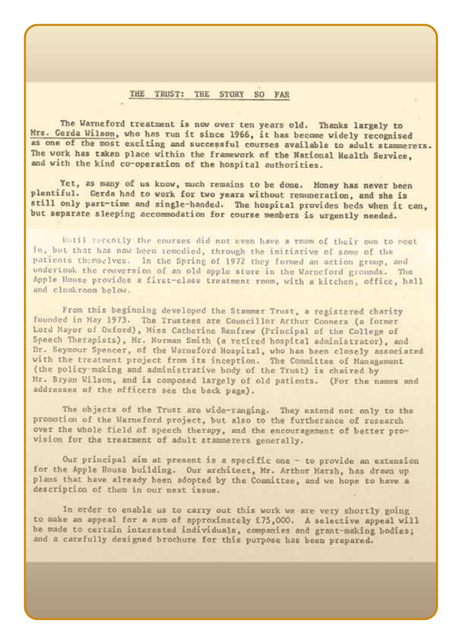### THE TRUST: THE STORY SO FAR

The Warneford treatment is now over ten years old. Thanks largely to Mrs. Gerda Wilson, who has run it since 1966, it has become widely recognised as one of the most exciting and successful courses available to adult stammerers. The work has taken place within the framework of the National Health Service, and with the kind co-operation of the hospital authorities.

Yet, as many of us know, much remains to be done. Money has never been plentiful. Gerda had to work for two years without remuneration, and she is still only part-time and single-handed. The hospital provides beds when it can. but separate sleeping accommodation for course members is urgently needed.

Until vecently the courses did not even have a room of their own to meet in, but that has now been remedied, through the initiative of some of the patients themselves. In the Spring of 1972 they formed an action group, and undertook the conversion of an old apple store in the Warneford grounds. The Apple House provides a first-class treatment room, with a kitchen, office, hall and clonkroom below.

From this beginning developed the Stammer Trust, a registered charity founded in May 1973. The Trustees are Councillor Arthur Conners (a former Lord Mayor of Oxford), Miss Catherine Renfrew (Principal of the College of Speech Therapists), Mr. Norman Smith (a retired hospital administrator), and Dr. Seymour Spencer, of the Warneford Hospital, who has been closely associated with the treatment project from its inception. The Committee of Management (the policy-making and administrative body of the Trust) is chaired by Mr. Bryan Wilson, and is composed largely of old patients. (For the names and addresses of the officers see the back page).

The objects of the Trust are wide-ranging. They extend not only to the promotion of the Warneford project, but also to the furtherance of research over the whole field of speech therapy, and the encouragement of better provision for the treatment of adult stammerers generally.

Our principal aim at present is a specific one - to provide an extension for the Apple House building. Our architect, Mr. Arthur Marsh, has drawn up plans that have already been adopted by the Committee, and we hope to have a description of them in our next issue.

In order to enable us to carry out this work we are very shortly going to make an appeal for a sum of approximately 175,000. A selective appeal will be made to certain interested individuals, companies and grant-making bodies; and a carefully designed brochure for this purpose has been prepared.